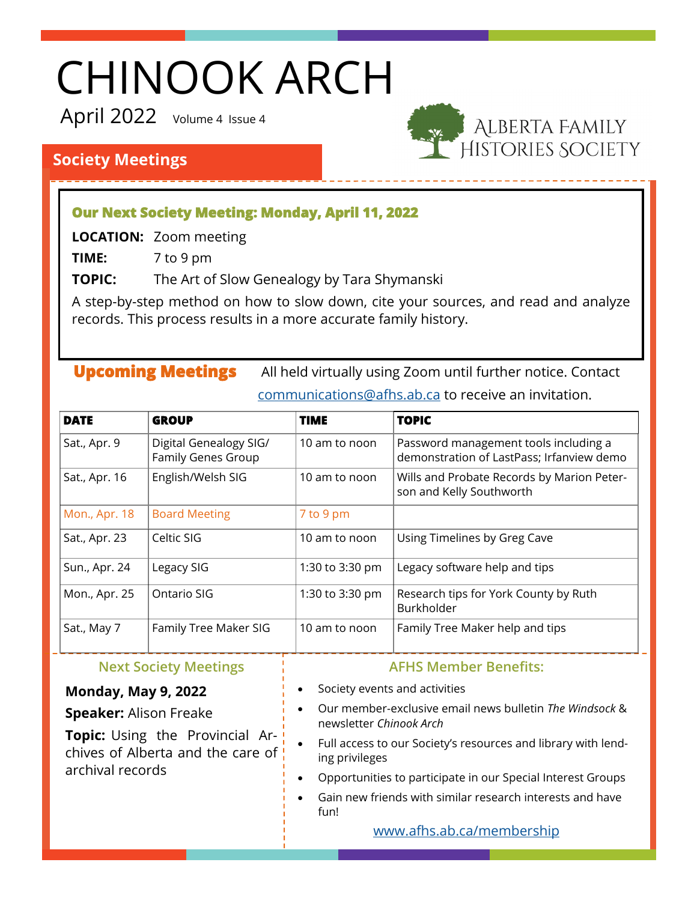# CHINOOK ARCH

April 2022 Volume 4 Issue 4



# **Society Meetings**

### **Our Next Society Meeting: Monday, April 11, 2022**

**LOCATION:** Zoom meeting

**TIME:** 7 to 9 pm

**TOPIC:** The Art of Slow Genealogy by Tara Shymanski

A step-by-step method on how to slow down, cite your sources, and read and analyze records. This process results in a more accurate family history.

**Upcoming Meetings** All held virtually using Zoom until further notice. Contact [communications@afhs.ab.ca](mailto:communications@afhs.ab.ca) to receive an invitation.

| <b>DATE</b>   | <b>GROUP</b>                                 | <b>TIME</b>     | <b>TOPIC</b>                                                                       |
|---------------|----------------------------------------------|-----------------|------------------------------------------------------------------------------------|
| Sat., Apr. 9  | Digital Genealogy SIG/<br>Family Genes Group | 10 am to noon   | Password management tools including a<br>demonstration of LastPass; Irfanview demo |
| Sat., Apr. 16 | English/Welsh SIG                            | 10 am to noon   | Wills and Probate Records by Marion Peter-<br>son and Kelly Southworth             |
| Mon., Apr. 18 | <b>Board Meeting</b>                         | 7 to 9 pm       |                                                                                    |
| Sat., Apr. 23 | Celtic SIG                                   | 10 am to noon   | Using Timelines by Greg Cave                                                       |
| Sun., Apr. 24 | Legacy SIG                                   | 1:30 to 3:30 pm | Legacy software help and tips                                                      |
| Mon., Apr. 25 | Ontario SIG                                  | 1:30 to 3:30 pm | Research tips for York County by Ruth<br>Burkholder                                |
| Sat., May 7   | Family Tree Maker SIG                        | 10 am to noon   | Family Tree Maker help and tips                                                    |

#### **Next Society Meetings**

#### **Monday, May 9, 2022**

#### **Speaker:** Alison Freake

**Topic:** Using the Provincial Archives of Alberta and the care of archival records

#### **AFHS Member Benefits:**

- Society events and activities
- Our member-exclusive email news bulletin *The Windsock* & newsletter *Chinook Arch*
- Full access to our Society's resources and library with lending privileges
- Opportunities to participate in our Special Interest Groups
- Gain new friends with similar research interests and have fun!

[www.afhs.ab.ca/membership](http://afhs.ab.ca/membership)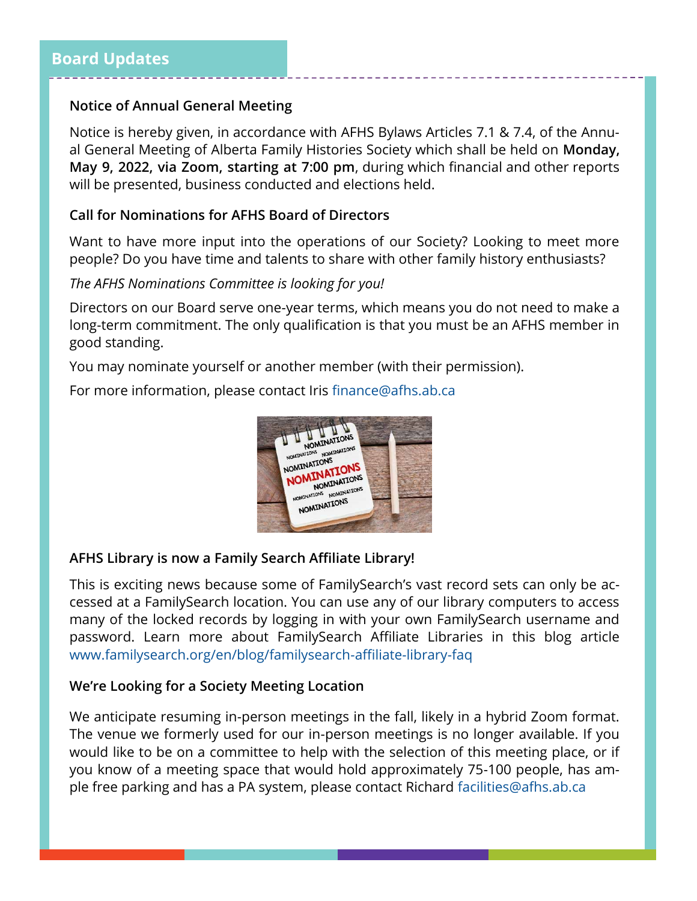#### **Notice of Annual General Meeting**

Notice is hereby given, in accordance with AFHS Bylaws Articles 7.1 & 7.4, of the Annual General Meeting of Alberta Family Histories Society which shall be held on **Monday, May 9, 2022, via Zoom, starting at 7:00 pm**, during which financial and other reports will be presented, business conducted and elections held.

#### **Call for Nominations for AFHS Board of Directors**

Want to have more input into the operations of our Society? Looking to meet more people? Do you have time and talents to share with other family history enthusiasts?

#### *The AFHS Nominations Committee is looking for you!*

Directors on our Board serve one-year terms, which means you do not need to make a long-term commitment. The only qualification is that you must be an AFHS member in good standing.

You may nominate yourself or another member (with their permission).

For more information, please contact Iris [finance@afhs.ab.ca](mailto:finance@afhs.ab.ca)



#### **AFHS Library is now a Family Search Affiliate Library!**

This is exciting news because some of FamilySearch's vast record sets can only be accessed at a FamilySearch location. You can use any of our library computers to access many of the locked records by logging in with your own FamilySearch username and password. Learn more about FamilySearch Affiliate Libraries in this blog article [www.familysearch.org/en/blog/familysearch](https://www.familysearch.org/en/blog/familysearch-affiliate-library-faq)-affiliate-library-faq

#### **We're Looking for a Society Meeting Location**

We anticipate resuming in-person meetings in the fall, likely in a hybrid Zoom format. The venue we formerly used for our in-person meetings is no longer available. If you would like to be on a committee to help with the selection of this meeting place, or if you know of a meeting space that would hold approximately 75-100 people, has ample free parking and has a PA system, please contact Richard [facilities@afhs.ab.ca](mailto:facilities@afhs.ab.ca)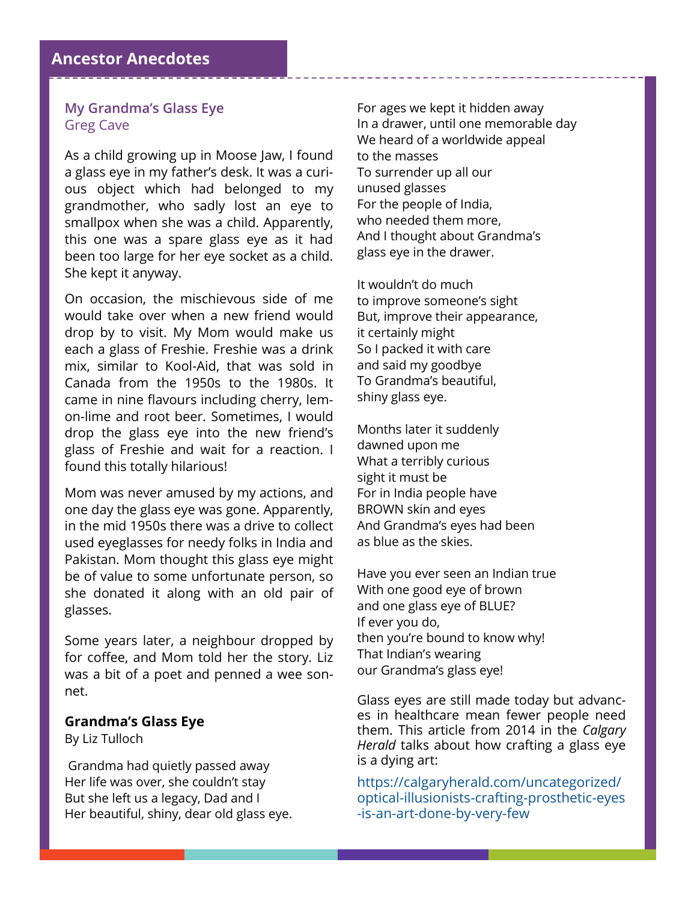#### **My Grandma's Glass Eye** Greg Cave

As a child growing up in Moose Jaw, I found a glass eye in my father's desk. It was a curious object which had belonged to my grandmother, who sadly lost an eye to smallpox when she was a child. Apparently, this one was a spare glass eye as it had been too large for her eye socket as a child. She kept it anyway.

On occasion, the mischievous side of me would take over when a new friend would drop by to visit. My Mom would make us each a glass of Freshie. Freshie was a drink mix, similar to Kool-Aid, that was sold in Canada from the 1950s to the 1980s. It came in nine flavours including cherry, lemon-lime and root beer. Sometimes, I would drop the glass eye into the new friend's glass of Freshie and wait for a reaction. I found this totally hilarious!

Mom was never amused by my actions, and one day the glass eye was gone. Apparently, in the mid 1950s there was a drive to collect used eyeglasses for needy folks in India and Pakistan. Mom thought this glass eye might be of value to some unfortunate person, so she donated it along with an old pair of glasses.

Some years later, a neighbour dropped by for coffee, and Mom told her the story. Liz was a bit of a poet and penned a wee sonnet.

#### **Grandma's Glass Eye**

By Liz Tulloch

Grandma had quietly passed away Her life was over, she couldn't stay But she left us a legacy, Dad and I Her beautiful, shiny, dear old glass eye.

For ages we kept it hidden away In a drawer, until one memorable day We heard of a worldwide appeal to the masses To surrender up all our unused glasses For the people of India, who needed them more, And I thought about Grandma's glass eye in the drawer.

It wouldn't do much to improve someone's sight But, improve their appearance, it certainly might So I packed it with care and said my goodbye To Grandma's beautiful, shiny glass eye.

Months later it suddenly dawned upon me What a terribly curious sight it must be For in India people have BROWN skin and eyes And Grandma's eyes had been as blue as the skies.

Have you ever seen an Indian true With one good eye of brown and one glass eye of BLUE? If ever you do, then you're bound to know why! That Indian's wearing our Grandma's glass eye!

Glass eyes are still made today but advances in healthcare mean fewer people need them. This article from 2014 in the *Calgary Herald* talks about how crafting a glass eye is a dying art:

[https://calgaryherald.com/uncategorized/](https://calgaryherald.com/uncategorized/optical-illusionists-crafting-prosthetic-eyes-is-an-art-done-by-very-few) optical-[illusionists](https://calgaryherald.com/uncategorized/optical-illusionists-crafting-prosthetic-eyes-is-an-art-done-by-very-few)-crafting-prosthetic-eyes -is-an-art-[done](https://calgaryherald.com/uncategorized/optical-illusionists-crafting-prosthetic-eyes-is-an-art-done-by-very-few)-by-very-few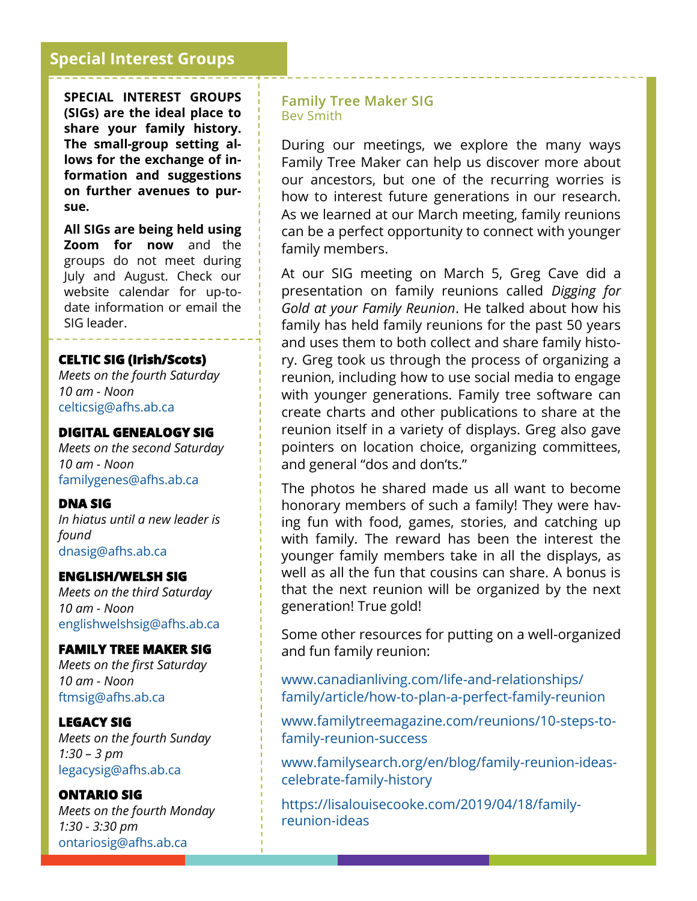# **Special Interest Groups**

**SPECIAL INTEREST GROUPS (SIGs) are the ideal place to share your family history. The small-group setting allows for the exchange of information and suggestions on further avenues to pursue.** 

**All SIGs are being held using Zoom for now** and the groups do not meet during July and August. Check our website calendar for up-todate information or email the SIG leader.

#### **CELTIC SIG (Irish/Scots)**

*Meets on the fourth Saturday 10 am - Noon* [celticsig@afhs.ab.ca](mailto:celticsig@afhs.ab.ca)

#### **DIGITAL GENEALOGY SIG**

*Meets on the second Saturday 10 am - Noon*  [familygenes@afhs.ab.ca](mailto:familygenes@afhs.ab.ca)

#### **DNA SIG**

*In hiatus until a new leader is found* [dnasig@afhs.ab.ca](mailto:dnasig@afhs.ab.ca)

#### **ENGLISH/WELSH SIG**

*Meets on the third Saturday 10 am - Noon* [englishwelshsig@afhs.ab.ca](mailto:englishwelshsig@afhs.ab.ca)

#### **FAMILY TREE MAKER SIG**

*Meets on the first Saturday 10 am - Noon* [ftmsig@afhs.ab.ca](mailto:ftmsig@afhs.ab.ca)

#### **LEGACY SIG**

*Meets on the fourth Sunday 1:30 – 3 pm* [legacysig@afhs.ab.ca](mailto:legacysig@afhs.ab.ca)

#### **ONTARIO SIG**

*Meets on the fourth Monday 1:30 - 3:30 pm* [ontariosig@afhs.ab.ca](mailto:ontariosig@afhs.ab.ca)

#### **Family Tree Maker SIG** Bev Smith

During our meetings, we explore the many ways Family Tree Maker can help us discover more about our ancestors, but one of the recurring worries is how to interest future generations in our research. As we learned at our March meeting, family reunions can be a perfect opportunity to connect with younger family members.

At our SIG meeting on March 5, Greg Cave did a presentation on family reunions called *Digging for Gold at your Family Reunion*. He talked about how his family has held family reunions for the past 50 years and uses them to both collect and share family history. Greg took us through the process of organizing a reunion, including how to use social media to engage with younger generations. Family tree software can create charts and other publications to share at the reunion itself in a variety of displays. Greg also gave pointers on location choice, organizing committees, and general "dos and don'ts."

The photos he shared made us all want to become honorary members of such a family! They were having fun with food, games, stories, and catching up with family. The reward has been the interest the younger family members take in all the displays, as well as all the fun that cousins can share. A bonus is that the next reunion will be organized by the next generation! True gold!

Some other resources for putting on a well-organized and fun family reunion:

[www.canadianliving.com/life](http://www.canadianliving.com/life-and-relationships/family/article/how-to-plan-a-perfect-family-reunion)-and-relationships/ [family/article/how](http://www.canadianliving.com/life-and-relationships/family/article/how-to-plan-a-perfect-family-reunion)-to-plan-a-perfect-family-reunion

[www.familytreemagazine.com/reunions/10](http://www.familytreemagazine.com/reunions/10-steps-to-family-reunion-success)-steps-tofamily-[reunion](http://www.familytreemagazine.com/reunions/10-steps-to-family-reunion-success)-success

[www.familysearch.org/en/blog/family](http://www.familysearch.org/en/blog/family-reunion-ideas-celebrate-family-history)-reunion-ideas[celebrate](http://www.familysearch.org/en/blog/family-reunion-ideas-celebrate-family-history)-family-history

[https://lisalouisecooke.com/2019/04/18/family](https://lisalouisecooke.com/2019/04/18/family-reunion-ideas)[reunion](https://lisalouisecooke.com/2019/04/18/family-reunion-ideas)-ideas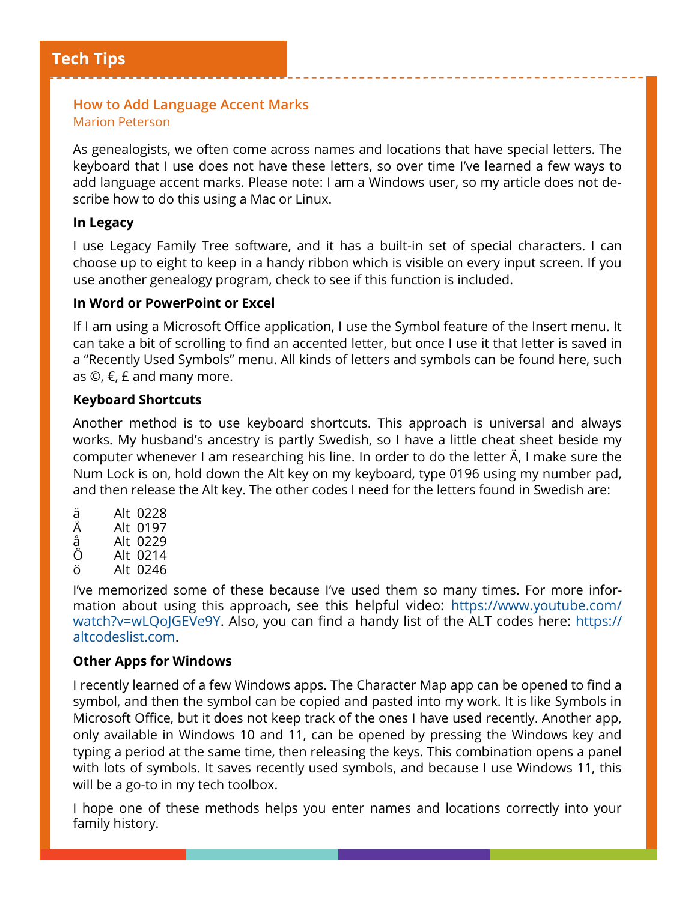#### **How to Add Language Accent Marks** Marion Peterson

As genealogists, we often come across names and locations that have special letters. The keyboard that I use does not have these letters, so over time I've learned a few ways to add language accent marks. Please note: I am a Windows user, so my article does not describe how to do this using a Mac or Linux.

#### **In Legacy**

I use Legacy Family Tree software, and it has a built-in set of special characters. I can choose up to eight to keep in a handy ribbon which is visible on every input screen. If you use another genealogy program, check to see if this function is included.

#### **In Word or PowerPoint or Excel**

If I am using a Microsoft Office application, I use the Symbol feature of the Insert menu. It can take a bit of scrolling to find an accented letter, but once I use it that letter is saved in a "Recently Used Symbols" menu. All kinds of letters and symbols can be found here, such as  $\mathbb{O}, \epsilon$ ,  $\epsilon$  and many more.

#### **Keyboard Shortcuts**

Another method is to use keyboard shortcuts. This approach is universal and always works. My husband's ancestry is partly Swedish, so I have a little cheat sheet beside my computer whenever I am researching his line. In order to do the letter Ä, I make sure the Num Lock is on, hold down the Alt key on my keyboard, type 0196 using my number pad, and then release the Alt key. The other codes I need for the letters found in Swedish are:

- ä Alt 0228
- Å Alt 0197
- å Alt 0229
- Ö Alt 0214
- ö Alt 0246

I've memorized some of these because I've used them so many times. For more information about using this approach, see this helpful video: [https://www.youtube.com/](https://www.youtube.com/watch?v=wLQoJGEVe9Y) [watch?v=wLQoJGEVe9Y.](https://www.youtube.com/watch?v=wLQoJGEVe9Y) Also, you can find a handy list of the ALT codes here: [https://](https://altcodeslist.com/) [altcodeslist.com.](https://altcodeslist.com/)

#### **Other Apps for Windows**

I recently learned of a few Windows apps. The Character Map app can be opened to find a symbol, and then the symbol can be copied and pasted into my work. It is like Symbols in Microsoft Office, but it does not keep track of the ones I have used recently. Another app, only available in Windows 10 and 11, can be opened by pressing the Windows key and typing a period at the same time, then releasing the keys. This combination opens a panel with lots of symbols. It saves recently used symbols, and because I use Windows 11, this will be a go-to in my tech toolbox.

I hope one of these methods helps you enter names and locations correctly into your family history.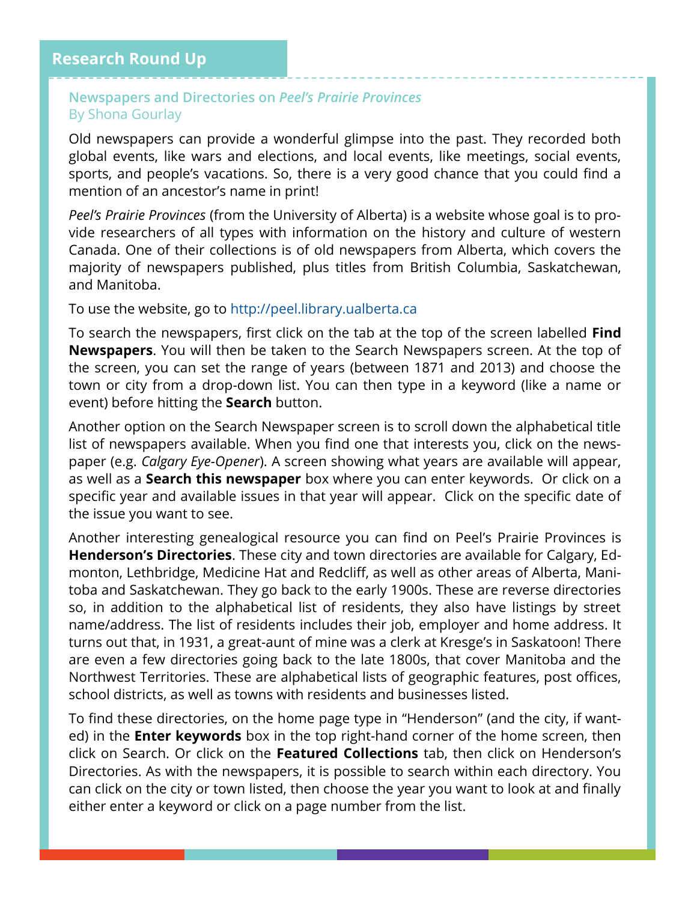#### **Newspapers and Directories on** *Peel's Prairie Provinces* By Shona Gourlay

Old newspapers can provide a wonderful glimpse into the past. They recorded both global events, like wars and elections, and local events, like meetings, social events, sports, and people's vacations. So, there is a very good chance that you could find a mention of an ancestor's name in print!

*Peel's Prairie Provinces* (from the University of Alberta) is a website whose goal is to provide researchers of all types with information on the history and culture of western Canada. One of their collections is of old newspapers from Alberta, which covers the majority of newspapers published, plus titles from British Columbia, Saskatchewan, and Manitoba.

To use the website, go to<http://peel.library.ualberta.ca>

To search the newspapers, first click on the tab at the top of the screen labelled **Find Newspapers**. You will then be taken to the Search Newspapers screen. At the top of the screen, you can set the range of years (between 1871 and 2013) and choose the town or city from a drop-down list. You can then type in a keyword (like a name or event) before hitting the **Search** button.

Another option on the Search Newspaper screen is to scroll down the alphabetical title list of newspapers available. When you find one that interests you, click on the newspaper (e.g. *Calgary Eye-Opener*). A screen showing what years are available will appear, as well as a **Search this newspaper** box where you can enter keywords. Or click on a specific year and available issues in that year will appear. Click on the specific date of the issue you want to see.

Another interesting genealogical resource you can find on Peel's Prairie Provinces is **Henderson's Directories**. These city and town directories are available for Calgary, Edmonton, Lethbridge, Medicine Hat and Redcliff, as well as other areas of Alberta, Manitoba and Saskatchewan. They go back to the early 1900s. These are reverse directories so, in addition to the alphabetical list of residents, they also have listings by street name/address. The list of residents includes their job, employer and home address. It turns out that, in 1931, a great-aunt of mine was a clerk at Kresge's in Saskatoon! There are even a few directories going back to the late 1800s, that cover Manitoba and the Northwest Territories. These are alphabetical lists of geographic features, post offices, school districts, as well as towns with residents and businesses listed.

To find these directories, on the home page type in "Henderson" (and the city, if wanted) in the **Enter keywords** box in the top right-hand corner of the home screen, then click on Search. Or click on the **Featured Collections** tab, then click on Henderson's Directories. As with the newspapers, it is possible to search within each directory. You can click on the city or town listed, then choose the year you want to look at and finally either enter a keyword or click on a page number from the list.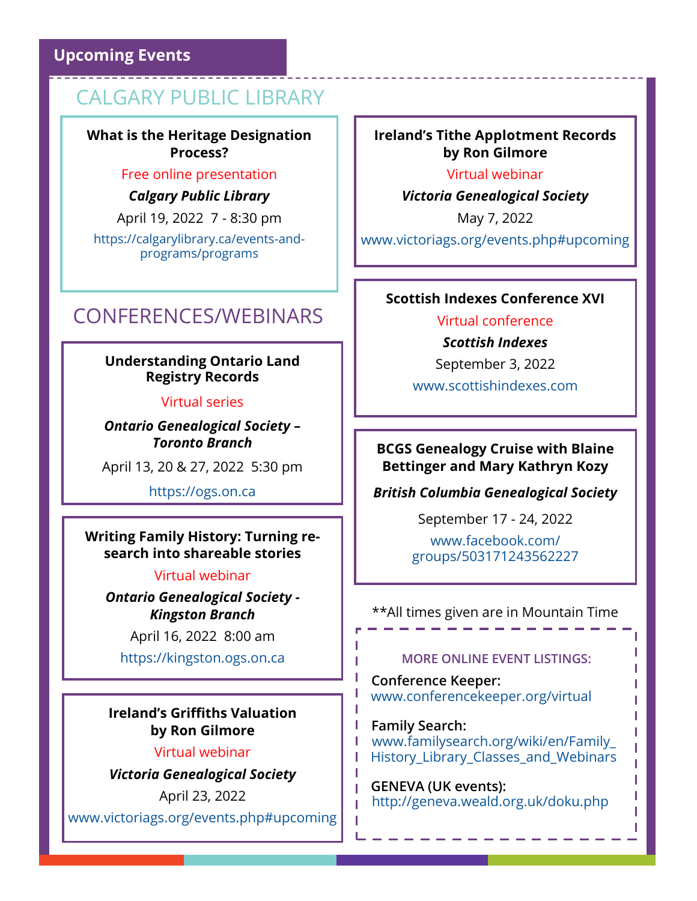## **Upcoming Events**

# CALGARY PUBLIC LIBRARY

**What is the Heritage Designation Process?**

#### Free online presentation

*Calgary Public Library*

April 19, 2022 7 - 8:30 pm

[https://calgarylibrary.ca/events](https://calgarylibrary.ca/events-and-programs/programs)-and[programs/programs](https://calgarylibrary.ca/events-and-programs/programs)

# CONFERENCES/WEBINARS

#### **Understanding Ontario Land Registry Records**

#### Virtual series

*Ontario Genealogical Society – Toronto Branch*

April 13, 20 & 27, 2022 5:30 pm

<https://ogs.on.ca>

#### **Writing Family History: Turning research into shareable stories**

#### Virtual webinar

*Ontario Genealogical Society - Kingston Branch*

April 16, 2022 8:00 am

<https://kingston.ogs.on.ca>

#### **Ireland's Griffiths Valuation by Ron Gilmore**

#### Virtual webinar

*Victoria Genealogical Society*

April 23, 2022 [www.victoriags.org/events.php#upcoming](http://www.victoriags.org/events.php#upcoming)

#### **Ireland's Tithe Applotment Records by Ron Gilmore**

Virtual webinar

*Victoria Genealogical Society*

May 7, 2022

[www.victoriags.org/events.php#upcoming](http://www.victoriags.org/events.php#upcoming)

#### **Scottish Indexes Conference XVI**

Virtual conference *Scottish Indexes*

September 3, 2022

[www.scottishindexes.com](http://www.scottishindexes.com)

#### **BCGS Genealogy Cruise with Blaine Bettinger and Mary Kathryn Kozy**

*British Columbia Genealogical Society*

September 17 - 24, 2022

[www.facebook.com/](http://www.facebook.com/groups/503171243562227) [groups/503171243562227](http://www.facebook.com/groups/503171243562227)

#### \*\*All times given are in Mountain Time

#### **MORE ONLINE EVENT LISTINGS:**

**Conference Keeper:** [www.conferencekeeper.org/virtual](http://www.conferencekeeper.org/virtual)

L

т

п

T П

**Family Search:** [www.familysearch.org/wiki/en/Family\\_](http://www.familysearch.org/wiki/en/Family_History_Library_Classes_and_Webinars)  History Library Classes and Webinars

L г

Т

L

 **GENEVA (UK events):** <http://geneva.weald.org.uk/doku.php>